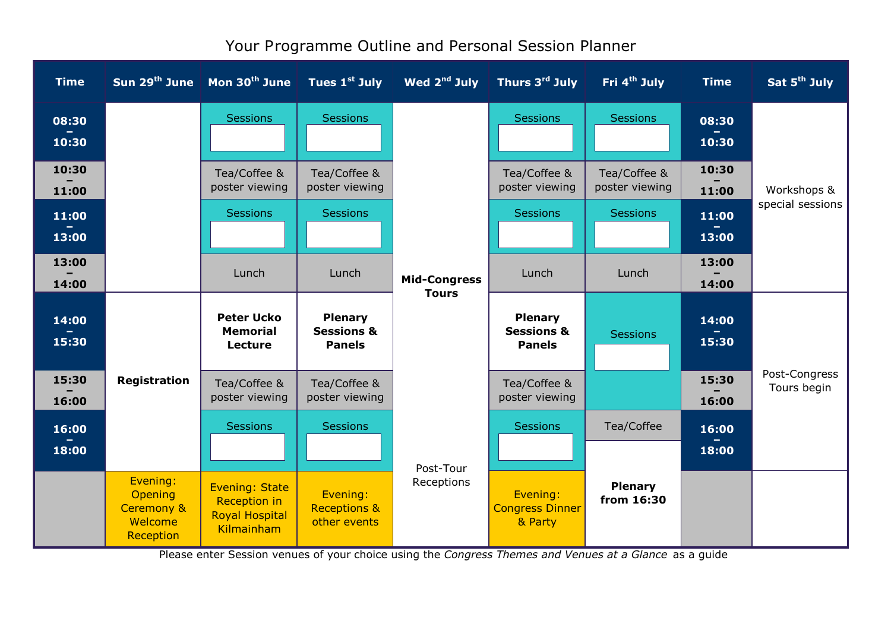| <b>Time</b>    |                                                                                             | Sun $29^{th}$ June   Mon $30^{th}$ June                                             | Tues 1 <sup>st</sup> July                                | Wed 2 <sup>nd</sup> July            | Thurs 3rd July                                           | Fri 4 <sup>th</sup> July       | <b>Time</b>    | Sat 5 <sup>th</sup> July     |  |  |
|----------------|---------------------------------------------------------------------------------------------|-------------------------------------------------------------------------------------|----------------------------------------------------------|-------------------------------------|----------------------------------------------------------|--------------------------------|----------------|------------------------------|--|--|
| 08:30<br>10:30 |                                                                                             | <b>Sessions</b>                                                                     | <b>Sessions</b>                                          |                                     | <b>Sessions</b>                                          | <b>Sessions</b>                | 08:30<br>10:30 |                              |  |  |
| 10:30<br>11:00 |                                                                                             | Tea/Coffee &<br>poster viewing                                                      | Tea/Coffee &<br>poster viewing                           |                                     | Tea/Coffee &<br>poster viewing                           | Tea/Coffee &<br>poster viewing | 10:30<br>11:00 | Workshops &                  |  |  |
| 11:00<br>13:00 |                                                                                             | <b>Sessions</b>                                                                     | <b>Sessions</b>                                          |                                     | <b>Sessions</b>                                          | <b>Sessions</b>                | 11:00<br>13:00 | special sessions             |  |  |
| 13:00<br>14:00 |                                                                                             | Lunch                                                                               | Lunch                                                    | <b>Mid-Congress</b><br><b>Tours</b> | Lunch                                                    | Lunch                          | 13:00<br>14:00 |                              |  |  |
| 14:00<br>15:30 |                                                                                             | <b>Peter Ucko</b><br><b>Memorial</b><br>Lecture                                     | <b>Plenary</b><br><b>Sessions &amp;</b><br><b>Panels</b> |                                     | <b>Plenary</b><br><b>Sessions &amp;</b><br><b>Panels</b> | <b>Sessions</b>                | 14:00<br>15:30 |                              |  |  |
| 15:30<br>16:00 | <b>Registration</b><br>Evening:<br>Opening<br><b>Ceremony &amp;</b><br>Welcome<br>Reception | Tea/Coffee &<br>poster viewing                                                      | Tea/Coffee &<br>poster viewing                           |                                     | Tea/Coffee &<br>poster viewing                           |                                | 15:30<br>16:00 | Post-Congress<br>Tours begin |  |  |
| 16:00<br>18:00 |                                                                                             | <b>Sessions</b>                                                                     | <b>Sessions</b>                                          | Post-Tour                           | <b>Sessions</b>                                          | Tea/Coffee                     | 16:00<br>18:00 |                              |  |  |
|                |                                                                                             | <b>Evening: State</b><br><b>Reception in</b><br><b>Royal Hospital</b><br>Kilmainham | Evening:<br><b>Receptions &amp;</b><br>other events      | Receptions                          | Evening:<br><b>Congress Dinner</b><br>& Party            | <b>Plenary</b><br>from 16:30   |                |                              |  |  |

## Your Programme Outline and Personal Session Planner

Please enter Session venues of your choice using the *Congress Themes and Venues at <sup>a</sup> Glance* as <sup>a</sup> guide